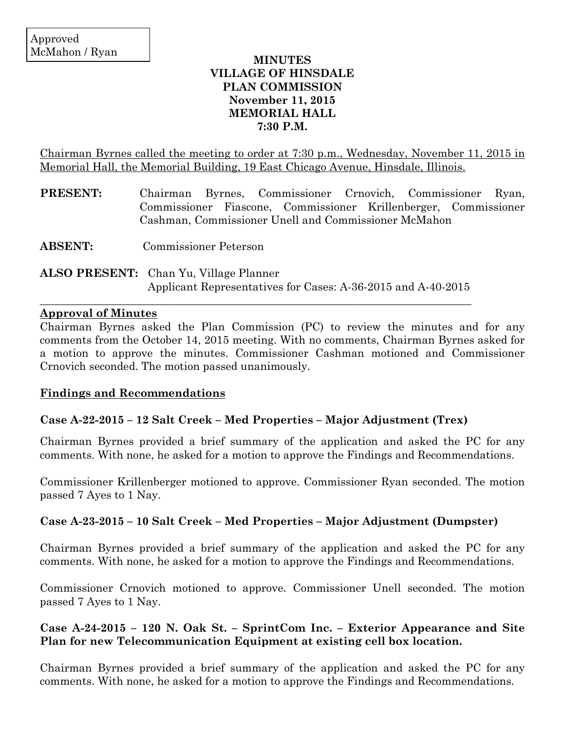## **MINUTES VILLAGE OF HINSDALE PLAN COMMISSION November 11, 2015 MEMORIAL HALL 7:30 P.M.**

Chairman Byrnes called the meeting to order at 7:30 p.m., Wednesday, November 11, 2015 in Memorial Hall, the Memorial Building, 19 East Chicago Avenue, Hinsdale, Illinois.

| <b>PRESENT:</b> |                                                      | Chairman Byrnes, Commissioner Crnovich, Commissioner Ryan, |  |                                                                 |  |  |  |  |  |
|-----------------|------------------------------------------------------|------------------------------------------------------------|--|-----------------------------------------------------------------|--|--|--|--|--|
|                 |                                                      |                                                            |  | Commissioner Fiascone, Commissioner Krillenberger, Commissioner |  |  |  |  |  |
|                 | Cashman, Commissioner Unell and Commissioner McMahon |                                                            |  |                                                                 |  |  |  |  |  |

**ABSENT:** Commissioner Peterson

# **ALSO PRESENT:** Chan Yu, Village Planner Applicant Representatives for Cases: A-36-2015 and A-40-2015

 $\mathcal{L}_\mathcal{L}$  , and the contribution of the contribution of the contribution of the contribution of the contribution of the contribution of the contribution of the contribution of the contribution of the contribution of

### **Approval of Minutes**

Chairman Byrnes asked the Plan Commission (PC) to review the minutes and for any comments from the October 14, 2015 meeting. With no comments, Chairman Byrnes asked for a motion to approve the minutes. Commissioner Cashman motioned and Commissioner Crnovich seconded. The motion passed unanimously.

### **Findings and Recommendations**

### **Case A-22-2015 – 12 Salt Creek – Med Properties – Major Adjustment (Trex)**

Chairman Byrnes provided a brief summary of the application and asked the PC for any comments. With none, he asked for a motion to approve the Findings and Recommendations.

Commissioner Krillenberger motioned to approve. Commissioner Ryan seconded. The motion passed 7 Ayes to 1 Nay.

### **Case A-23-2015 – 10 Salt Creek – Med Properties – Major Adjustment (Dumpster)**

Chairman Byrnes provided a brief summary of the application and asked the PC for any comments. With none, he asked for a motion to approve the Findings and Recommendations.

Commissioner Crnovich motioned to approve. Commissioner Unell seconded. The motion passed 7 Ayes to 1 Nay.

## **Case A-24-2015 – 120 N. Oak St. – SprintCom Inc. – Exterior Appearance and Site Plan for new Telecommunication Equipment at existing cell box location.**

Chairman Byrnes provided a brief summary of the application and asked the PC for any comments. With none, he asked for a motion to approve the Findings and Recommendations.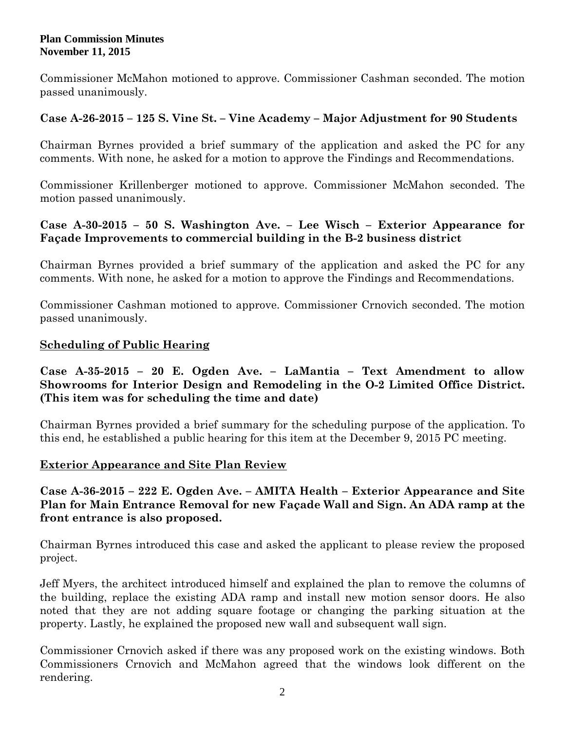Commissioner McMahon motioned to approve. Commissioner Cashman seconded. The motion passed unanimously.

## **Case A-26-2015 – 125 S. Vine St. – Vine Academy – Major Adjustment for 90 Students**

Chairman Byrnes provided a brief summary of the application and asked the PC for any comments. With none, he asked for a motion to approve the Findings and Recommendations.

Commissioner Krillenberger motioned to approve. Commissioner McMahon seconded. The motion passed unanimously.

# **Case A-30-2015 – 50 S. Washington Ave. – Lee Wisch – Exterior Appearance for Façade Improvements to commercial building in the B-2 business district**

Chairman Byrnes provided a brief summary of the application and asked the PC for any comments. With none, he asked for a motion to approve the Findings and Recommendations.

Commissioner Cashman motioned to approve. Commissioner Crnovich seconded. The motion passed unanimously.

## **Scheduling of Public Hearing**

# **Case A-35-2015 – 20 E. Ogden Ave. – LaMantia – Text Amendment to allow Showrooms for Interior Design and Remodeling in the O-2 Limited Office District. (This item was for scheduling the time and date)**

Chairman Byrnes provided a brief summary for the scheduling purpose of the application. To this end, he established a public hearing for this item at the December 9, 2015 PC meeting.

### **Exterior Appearance and Site Plan Review**

# **Case A-36-2015 – 222 E. Ogden Ave. – AMITA Health – Exterior Appearance and Site Plan for Main Entrance Removal for new Façade Wall and Sign. An ADA ramp at the front entrance is also proposed.**

Chairman Byrnes introduced this case and asked the applicant to please review the proposed project.

Jeff Myers, the architect introduced himself and explained the plan to remove the columns of the building, replace the existing ADA ramp and install new motion sensor doors. He also noted that they are not adding square footage or changing the parking situation at the property. Lastly, he explained the proposed new wall and subsequent wall sign.

Commissioner Crnovich asked if there was any proposed work on the existing windows. Both Commissioners Crnovich and McMahon agreed that the windows look different on the rendering.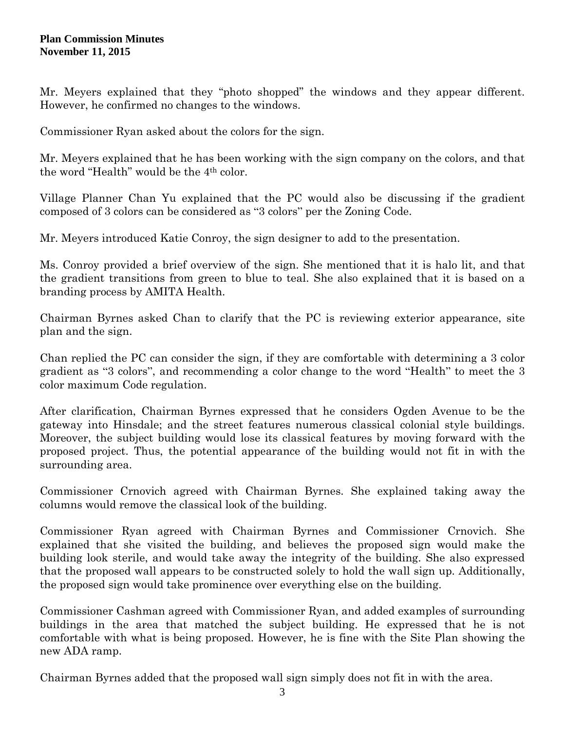Mr. Meyers explained that they "photo shopped" the windows and they appear different. However, he confirmed no changes to the windows.

Commissioner Ryan asked about the colors for the sign.

Mr. Meyers explained that he has been working with the sign company on the colors, and that the word "Health" would be the 4th color.

Village Planner Chan Yu explained that the PC would also be discussing if the gradient composed of 3 colors can be considered as "3 colors" per the Zoning Code.

Mr. Meyers introduced Katie Conroy, the sign designer to add to the presentation.

Ms. Conroy provided a brief overview of the sign. She mentioned that it is halo lit, and that the gradient transitions from green to blue to teal. She also explained that it is based on a branding process by AMITA Health.

Chairman Byrnes asked Chan to clarify that the PC is reviewing exterior appearance, site plan and the sign.

Chan replied the PC can consider the sign, if they are comfortable with determining a 3 color gradient as "3 colors", and recommending a color change to the word "Health" to meet the 3 color maximum Code regulation.

After clarification, Chairman Byrnes expressed that he considers Ogden Avenue to be the gateway into Hinsdale; and the street features numerous classical colonial style buildings. Moreover, the subject building would lose its classical features by moving forward with the proposed project. Thus, the potential appearance of the building would not fit in with the surrounding area.

Commissioner Crnovich agreed with Chairman Byrnes. She explained taking away the columns would remove the classical look of the building.

Commissioner Ryan agreed with Chairman Byrnes and Commissioner Crnovich. She explained that she visited the building, and believes the proposed sign would make the building look sterile, and would take away the integrity of the building. She also expressed that the proposed wall appears to be constructed solely to hold the wall sign up. Additionally, the proposed sign would take prominence over everything else on the building.

Commissioner Cashman agreed with Commissioner Ryan, and added examples of surrounding buildings in the area that matched the subject building. He expressed that he is not comfortable with what is being proposed. However, he is fine with the Site Plan showing the new ADA ramp.

Chairman Byrnes added that the proposed wall sign simply does not fit in with the area.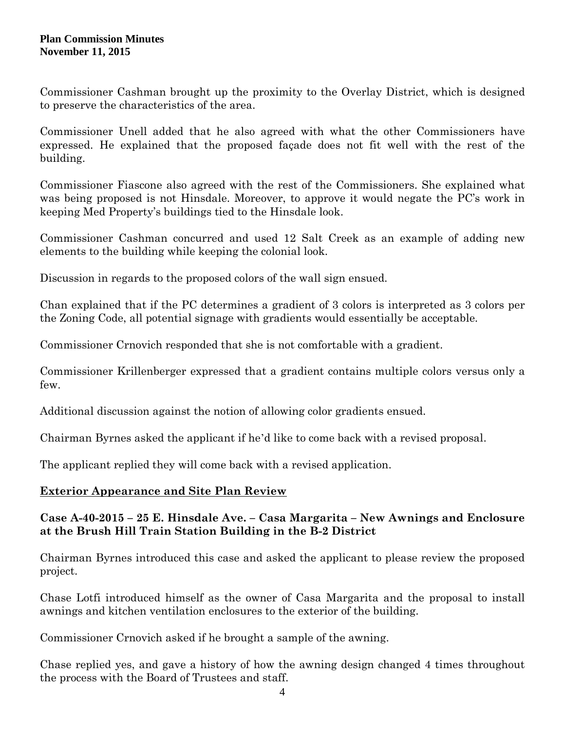Commissioner Cashman brought up the proximity to the Overlay District, which is designed to preserve the characteristics of the area.

Commissioner Unell added that he also agreed with what the other Commissioners have expressed. He explained that the proposed façade does not fit well with the rest of the building.

Commissioner Fiascone also agreed with the rest of the Commissioners. She explained what was being proposed is not Hinsdale. Moreover, to approve it would negate the PC's work in keeping Med Property's buildings tied to the Hinsdale look.

Commissioner Cashman concurred and used 12 Salt Creek as an example of adding new elements to the building while keeping the colonial look.

Discussion in regards to the proposed colors of the wall sign ensued.

Chan explained that if the PC determines a gradient of 3 colors is interpreted as 3 colors per the Zoning Code, all potential signage with gradients would essentially be acceptable.

Commissioner Crnovich responded that she is not comfortable with a gradient.

Commissioner Krillenberger expressed that a gradient contains multiple colors versus only a few.

Additional discussion against the notion of allowing color gradients ensued.

Chairman Byrnes asked the applicant if he'd like to come back with a revised proposal.

The applicant replied they will come back with a revised application.

# **Exterior Appearance and Site Plan Review**

## **Case A-40-2015 – 25 E. Hinsdale Ave. – Casa Margarita – New Awnings and Enclosure at the Brush Hill Train Station Building in the B-2 District**

Chairman Byrnes introduced this case and asked the applicant to please review the proposed project.

Chase Lotfi introduced himself as the owner of Casa Margarita and the proposal to install awnings and kitchen ventilation enclosures to the exterior of the building.

Commissioner Crnovich asked if he brought a sample of the awning.

Chase replied yes, and gave a history of how the awning design changed 4 times throughout the process with the Board of Trustees and staff.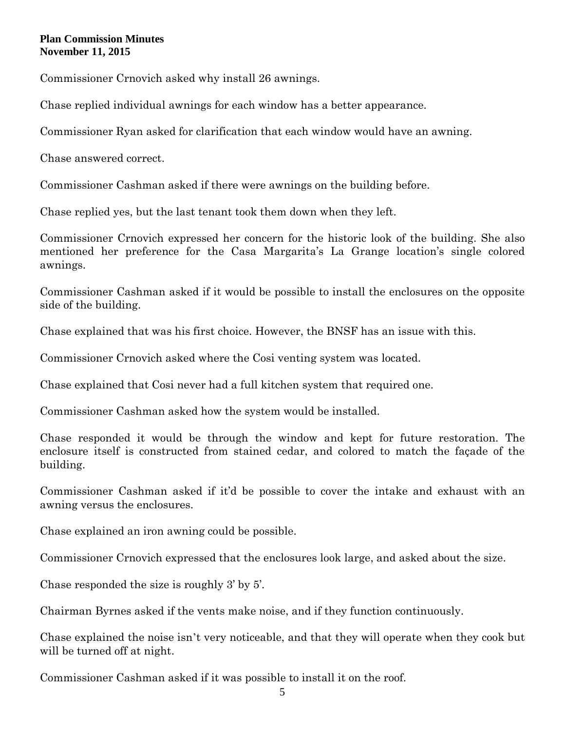Commissioner Crnovich asked why install 26 awnings.

Chase replied individual awnings for each window has a better appearance.

Commissioner Ryan asked for clarification that each window would have an awning.

Chase answered correct.

Commissioner Cashman asked if there were awnings on the building before.

Chase replied yes, but the last tenant took them down when they left.

Commissioner Crnovich expressed her concern for the historic look of the building. She also mentioned her preference for the Casa Margarita's La Grange location's single colored awnings.

Commissioner Cashman asked if it would be possible to install the enclosures on the opposite side of the building.

Chase explained that was his first choice. However, the BNSF has an issue with this.

Commissioner Crnovich asked where the Cosi venting system was located.

Chase explained that Cosi never had a full kitchen system that required one.

Commissioner Cashman asked how the system would be installed.

Chase responded it would be through the window and kept for future restoration. The enclosure itself is constructed from stained cedar, and colored to match the façade of the building.

Commissioner Cashman asked if it'd be possible to cover the intake and exhaust with an awning versus the enclosures.

Chase explained an iron awning could be possible.

Commissioner Crnovich expressed that the enclosures look large, and asked about the size.

Chase responded the size is roughly 3' by 5'.

Chairman Byrnes asked if the vents make noise, and if they function continuously.

Chase explained the noise isn't very noticeable, and that they will operate when they cook but will be turned off at night.

Commissioner Cashman asked if it was possible to install it on the roof.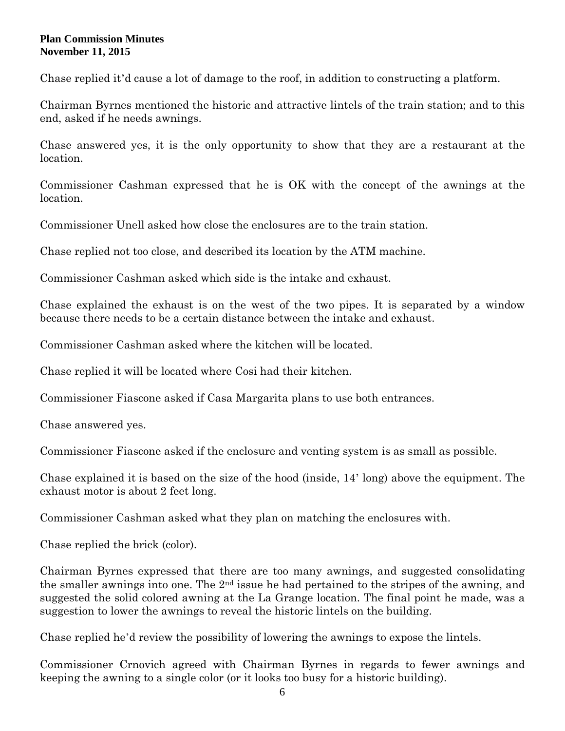Chase replied it'd cause a lot of damage to the roof, in addition to constructing a platform.

Chairman Byrnes mentioned the historic and attractive lintels of the train station; and to this end, asked if he needs awnings.

Chase answered yes, it is the only opportunity to show that they are a restaurant at the location.

Commissioner Cashman expressed that he is OK with the concept of the awnings at the location.

Commissioner Unell asked how close the enclosures are to the train station.

Chase replied not too close, and described its location by the ATM machine.

Commissioner Cashman asked which side is the intake and exhaust.

Chase explained the exhaust is on the west of the two pipes. It is separated by a window because there needs to be a certain distance between the intake and exhaust.

Commissioner Cashman asked where the kitchen will be located.

Chase replied it will be located where Cosi had their kitchen.

Commissioner Fiascone asked if Casa Margarita plans to use both entrances.

Chase answered yes.

Commissioner Fiascone asked if the enclosure and venting system is as small as possible.

Chase explained it is based on the size of the hood (inside, 14' long) above the equipment. The exhaust motor is about 2 feet long.

Commissioner Cashman asked what they plan on matching the enclosures with.

Chase replied the brick (color).

Chairman Byrnes expressed that there are too many awnings, and suggested consolidating the smaller awnings into one. The 2nd issue he had pertained to the stripes of the awning, and suggested the solid colored awning at the La Grange location. The final point he made, was a suggestion to lower the awnings to reveal the historic lintels on the building.

Chase replied he'd review the possibility of lowering the awnings to expose the lintels.

Commissioner Crnovich agreed with Chairman Byrnes in regards to fewer awnings and keeping the awning to a single color (or it looks too busy for a historic building).